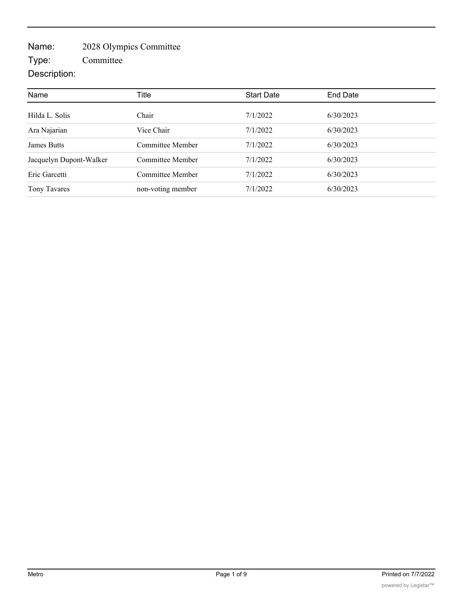## Name: 2028 Olympics Committee

Type: Committee

## Description:

| Name                    | Title             | <b>Start Date</b> | End Date  |  |
|-------------------------|-------------------|-------------------|-----------|--|
|                         |                   |                   |           |  |
| Hilda L. Solis          | Chair             | 7/1/2022          | 6/30/2023 |  |
| Ara Najarian            | Vice Chair        | 7/1/2022          | 6/30/2023 |  |
| <b>James Butts</b>      | Committee Member  | 7/1/2022          | 6/30/2023 |  |
| Jacquelyn Dupont-Walker | Committee Member  | 7/1/2022          | 6/30/2023 |  |
| Eric Garcetti           | Committee Member  | 7/1/2022          | 6/30/2023 |  |
| Tony Tavares            | non-voting member | 7/1/2022          | 6/30/2023 |  |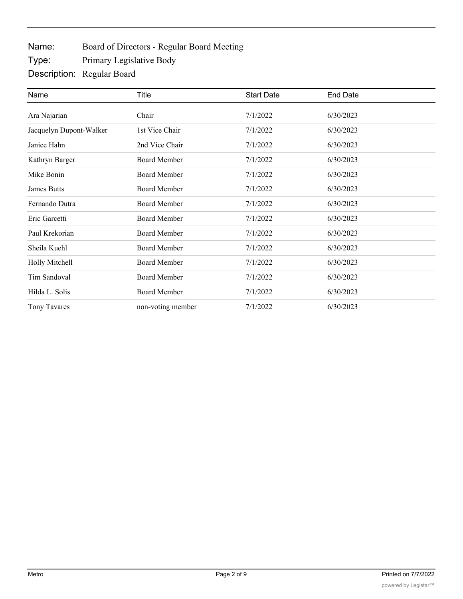Name: Board of Directors - Regular Board Meeting

Type: Primary Legislative Body

Description: Regular Board

| Name                    | Title               | <b>Start Date</b> | <b>End Date</b> |  |
|-------------------------|---------------------|-------------------|-----------------|--|
| Ara Najarian            | Chair               | 7/1/2022          | 6/30/2023       |  |
| Jacquelyn Dupont-Walker | 1st Vice Chair      | 7/1/2022          | 6/30/2023       |  |
| Janice Hahn             | 2nd Vice Chair      | 7/1/2022          | 6/30/2023       |  |
| Kathryn Barger          | <b>Board Member</b> | 7/1/2022          | 6/30/2023       |  |
| Mike Bonin              | <b>Board Member</b> | 7/1/2022          | 6/30/2023       |  |
| <b>James Butts</b>      | <b>Board Member</b> | 7/1/2022          | 6/30/2023       |  |
| Fernando Dutra          | <b>Board Member</b> | 7/1/2022          | 6/30/2023       |  |
| Eric Garcetti           | <b>Board Member</b> | 7/1/2022          | 6/30/2023       |  |
| Paul Krekorian          | <b>Board Member</b> | 7/1/2022          | 6/30/2023       |  |
| Sheila Kuehl            | <b>Board Member</b> | 7/1/2022          | 6/30/2023       |  |
| Holly Mitchell          | <b>Board Member</b> | 7/1/2022          | 6/30/2023       |  |
| Tim Sandoval            | <b>Board Member</b> | 7/1/2022          | 6/30/2023       |  |
| Hilda L. Solis          | <b>Board Member</b> | 7/1/2022          | 6/30/2023       |  |
| Tony Tavares            | non-voting member   | 7/1/2022          | 6/30/2023       |  |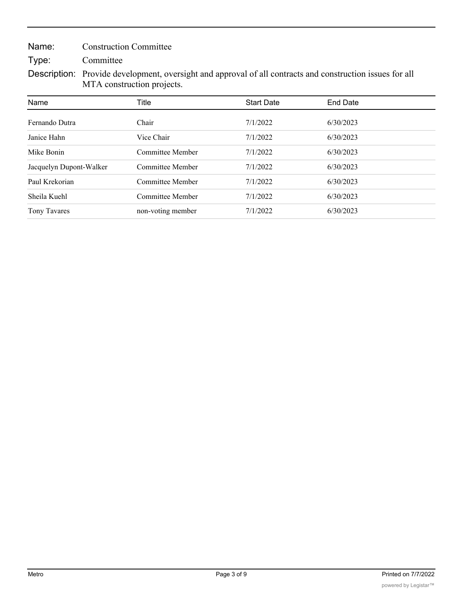Name: Construction Committee

Type: Committee

Description: Provide development, oversight and approval of all contracts and construction issues for all MTA construction projects.

| Name                    | Title             | <b>Start Date</b> | <b>End Date</b> |  |
|-------------------------|-------------------|-------------------|-----------------|--|
| Fernando Dutra          | Chair             | 7/1/2022          | 6/30/2023       |  |
| Janice Hahn             | Vice Chair        | 7/1/2022          | 6/30/2023       |  |
| Mike Bonin              | Committee Member  | 7/1/2022          | 6/30/2023       |  |
| Jacquelyn Dupont-Walker | Committee Member  | 7/1/2022          | 6/30/2023       |  |
| Paul Krekorian          | Committee Member  | 7/1/2022          | 6/30/2023       |  |
| Sheila Kuehl            | Committee Member  | 7/1/2022          | 6/30/2023       |  |
| Tony Tavares            | non-voting member | 7/1/2022          | 6/30/2023       |  |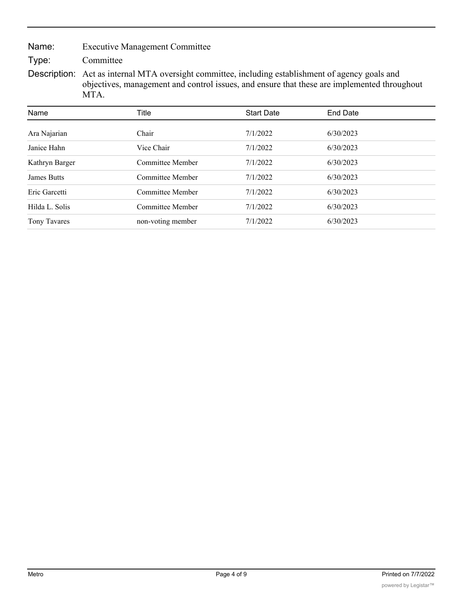Name: Executive Management Committee

Type: Committee

Description: Act as internal MTA oversight committee, including establishment of agency goals and objectives, management and control issues, and ensure that these are implemented throughout MTA.

| Name               | Title             | <b>Start Date</b> | End Date  |  |
|--------------------|-------------------|-------------------|-----------|--|
| Ara Najarian       | Chair             | 7/1/2022          | 6/30/2023 |  |
| Janice Hahn        | Vice Chair        | 7/1/2022          | 6/30/2023 |  |
| Kathryn Barger     | Committee Member  | 7/1/2022          | 6/30/2023 |  |
| <b>James Butts</b> | Committee Member  | 7/1/2022          | 6/30/2023 |  |
| Eric Garcetti      | Committee Member  | 7/1/2022          | 6/30/2023 |  |
| Hilda L. Solis     | Committee Member  | 7/1/2022          | 6/30/2023 |  |
| Tony Tavares       | non-voting member | 7/1/2022          | 6/30/2023 |  |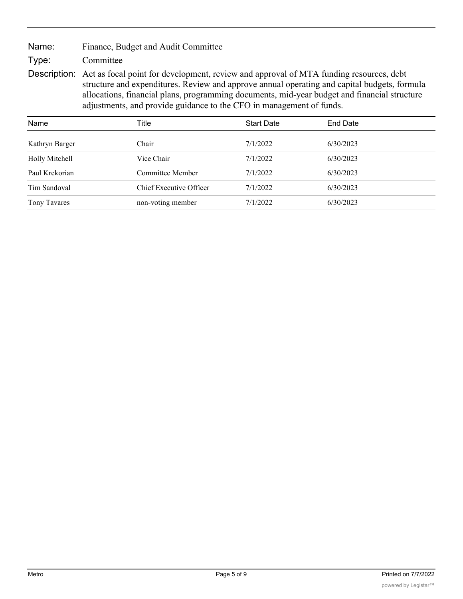Name: Finance, Budget and Audit Committee

Type: Committee

Description: Act as focal point for development, review and approval of MTA funding resources, debt structure and expenditures. Review and approve annual operating and capital budgets, formula allocations, financial plans, programming documents, mid-year budget and financial structure adjustments, and provide guidance to the CFO in management of funds.

| Name                | Title                   | <b>Start Date</b> | End Date  |
|---------------------|-------------------------|-------------------|-----------|
| Kathryn Barger      | Chair                   | 7/1/2022          | 6/30/2023 |
| Holly Mitchell      | Vice Chair              | 7/1/2022          | 6/30/2023 |
| Paul Krekorian      | Committee Member        | 7/1/2022          | 6/30/2023 |
| Tim Sandoval        | Chief Executive Officer | 7/1/2022          | 6/30/2023 |
| <b>Tony Tavares</b> | non-voting member       | 7/1/2022          | 6/30/2023 |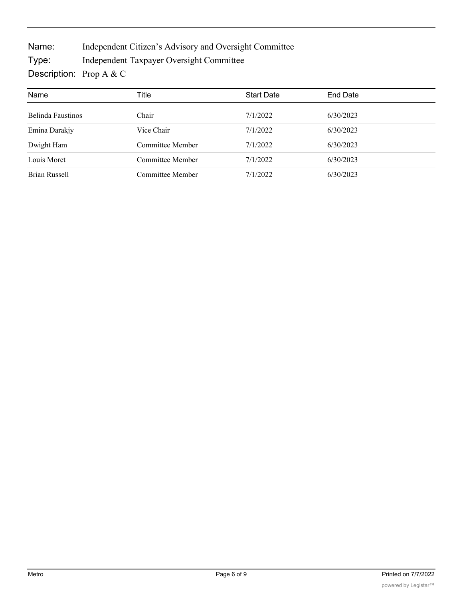Name: Independent Citizen's Advisory and Oversight Committee

Type: Independent Taxpayer Oversight Committee

Description: Prop A & C

| Name              | Title            | <b>Start Date</b> | <b>End Date</b> |
|-------------------|------------------|-------------------|-----------------|
| Belinda Faustinos | Chair            | 7/1/2022          | 6/30/2023       |
| Emina Darakjy     | Vice Chair       | 7/1/2022          | 6/30/2023       |
| Dwight Ham        | Committee Member | 7/1/2022          | 6/30/2023       |
| Louis Moret       | Committee Member | 7/1/2022          | 6/30/2023       |
| Brian Russell     | Committee Member | 7/1/2022          | 6/30/2023       |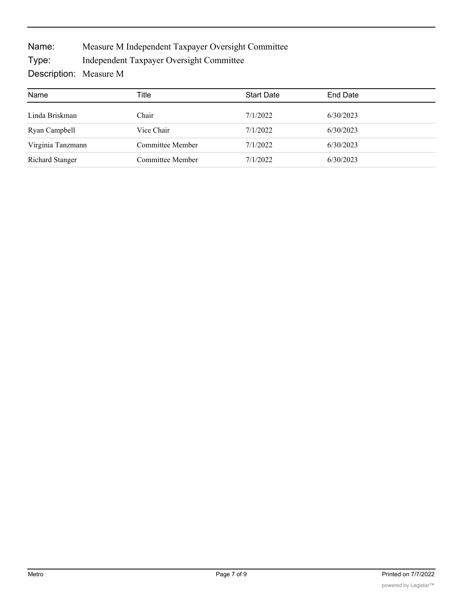Name: Measure M Independent Taxpayer Oversight Committee

Type: Independent Taxpayer Oversight Committee

Description: Measure M

| Name                   | Title            | <b>Start Date</b> | End Date  |
|------------------------|------------------|-------------------|-----------|
| Linda Briskman         | Chair            | 7/1/2022          | 6/30/2023 |
| Ryan Campbell          | Vice Chair       | 7/1/2022          | 6/30/2023 |
| Virginia Tanzmann      | Committee Member | 7/1/2022          | 6/30/2023 |
| <b>Richard Stanger</b> | Committee Member | 7/1/2022          | 6/30/2023 |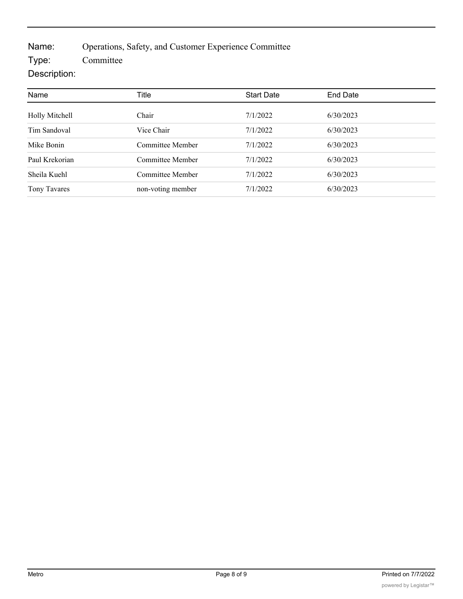Name: Operations, Safety, and Customer Experience Committee

Type: Committee

## Description:

| Name           | Title             | <b>Start Date</b> | End Date  |
|----------------|-------------------|-------------------|-----------|
| Holly Mitchell | Chair             | 7/1/2022          | 6/30/2023 |
| Tim Sandoval   | Vice Chair        | 7/1/2022          | 6/30/2023 |
| Mike Bonin     | Committee Member  | 7/1/2022          | 6/30/2023 |
| Paul Krekorian | Committee Member  | 7/1/2022          | 6/30/2023 |
| Sheila Kuehl   | Committee Member  | 7/1/2022          | 6/30/2023 |
| Tony Tavares   | non-voting member | 7/1/2022          | 6/30/2023 |